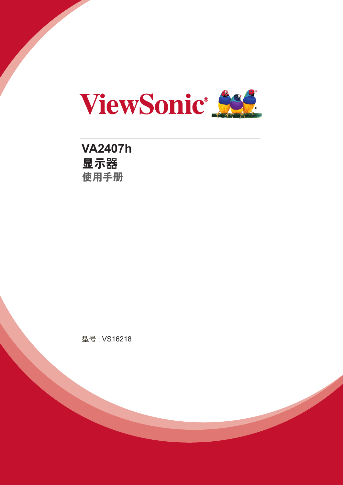

**VA2407h** 显示器 使用手册

型号 : VS16218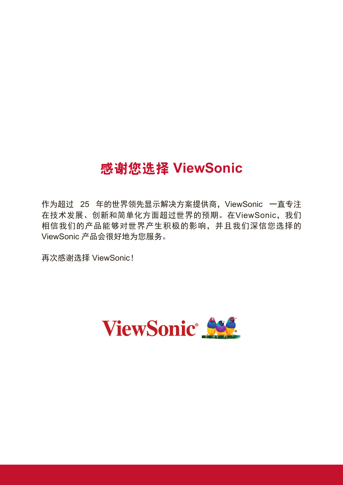# 感谢您选择 **ViewSonic**

作为超过 25 年的世界领先显示解决方案提供商,ViewSonic 一直专注 在技术发展、创新和简单化方面超过世界的预期。在ViewSonic,我们 相信我们的产品能够对世界产生积极的影响,并且我们深信您选择的 ViewSonic 产品会很好地为您服务。

再次感谢选择 ViewSonic!

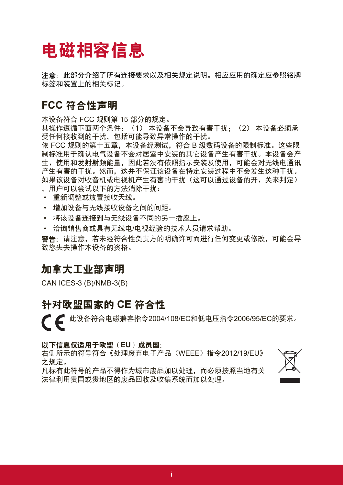# 电磁相容信息

注意:此部分介绍了所有连接要求以及相关规定说明。相应应用的确定应参照铭牌 标签和装置上的相关标记。

### **FCC** 符合性声明

本设备符合 FCC 规则第 15 部分的规定。

其操作遵循下面两个条件: (1) 本设备不会导致有害干扰; (2) 本设备必须承 受任何接收到的干扰,包括可能导致异常操作的干扰。

依 FCC 规则的第十五章, 本设备经测试, 符合 B 级数码设备的限制标准。这些限 制标准用于确认电气设备不会对居室中安装的其它设备产生有害干扰。本设备会产 生、使用和发射射频能量,因此若没有依照指示安装及使用,可能会对无线电通讯 产生有害的干扰。然而,这并不保证该设备在特定安装过程中不会发生这种干扰。 如果该设备对收音机或电视机产生有害的干扰(这可以通过设备的开、关来判定)

- ,用户可以尝试以下的方法消除干扰:
- • 重新调整或放置接收天线。
- • 增加设备与无线接收设备之间的间距。
- • 将该设备连接到与无线设备不同的另一插座上。
- • 洽询销售商或具有无线电/电视经验的技术人员请求帮助。

警告:请注意,若未经符合性负责方的明确许可而进行任何变更或修改,可能会导 致您失去操作本设备的资格。

### 加拿大工业部声明

CAN ICES-3 (B)/NMB-3(B)

### 针对欧盟国家的 **CE** 符合性

● ● 此设备符合电磁兼容指令2004/108/EC和低电压指令2006/95/EC的要求。

### 以下信息仅适用于欧盟(**EU**)成员国:

右侧所示的符号符合《处理废弃电子产品(WEEE)指令2012/19/EU》 之规定。

凡标有此符号的产品不得作为城市废品加以处理,而必须按照当地有关 法律利用贵国或贵地区的废品回收及收集系统而加以处理。

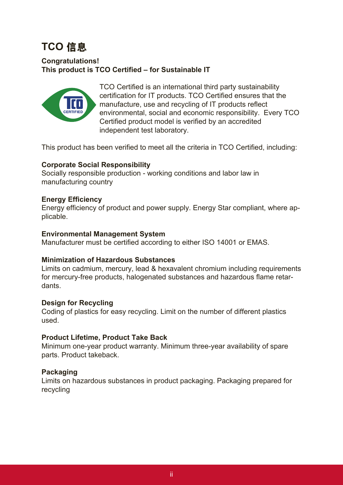# **TCO** 信息

### **Congratulations! This product is TCO Certified – for Sustainable IT**



TCO Certified is an international third party sustainability certification for IT products. TCO Certified ensures that the manufacture, use and recycling of IT products reflect environmental, social and economic responsibility. Every TCO Certified product model is verified by an accredited independent test laboratory.

This product has been verified to meet all the criteria in TCO Certified, including:

### **Corporate Social Responsibility**

Socially responsible production - working conditions and labor law in manufacturing country

### **Energy Efficiency**

Energy efficiency of product and power supply. Energy Star compliant, where applicable.

### **Environmental Management System**

Manufacturer must be certified according to either ISO 14001 or EMAS.

### **Minimization of Hazardous Substances**

Limits on cadmium, mercury, lead & hexavalent chromium including requirements for mercury-free products, halogenated substances and hazardous flame retardants.

### **Design for Recycling**

Coding of plastics for easy recycling. Limit on the number of different plastics used.

### **Product Lifetime, Product Take Back**

Minimum one-year product warranty. Minimum three-year availability of spare parts. Product takeback.

### **Packaging**

Limits on hazardous substances in product packaging. Packaging prepared for recycling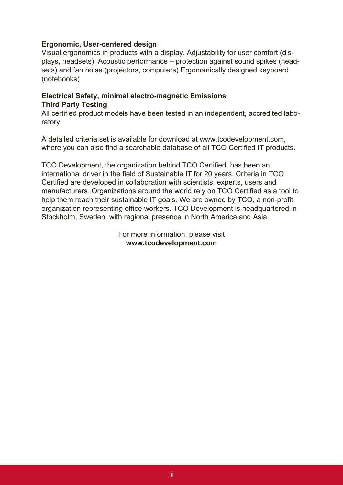### **Ergonomic, User-centered design**

Visual ergonomics in products with a display. Adjustability for user comfort (displays, headsets) Acoustic performance – protection against sound spikes (headsets) and fan noise (projectors, computers) Ergonomically designed keyboard (notebooks)

### **Electrical Safety, minimal electro-magnetic Emissions Third Party Testing**

All certified product models have been tested in an independent, accredited laboratory.

A detailed criteria set is available for download at www.tcodevelopment.com, where you can also find a searchable database of all TCO Certified IT products.

TCO Development, the organization behind TCO Certified, has been an international driver in the field of Sustainable IT for 20 years. Criteria in TCO Certified are developed in collaboration with scientists, experts, users and manufacturers. Organizations around the world rely on TCO Certified as a tool to help them reach their sustainable IT goals. We are owned by TCO, a non-profit organization representing office workers. TCO Development is headquartered in Stockholm, Sweden, with regional presence in North America and Asia.

> For more information, please visit **www.tcodevelopment.com**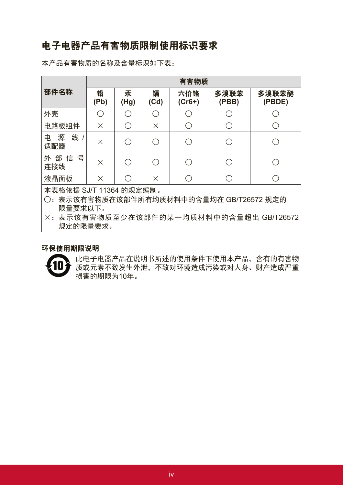### 电子电器产品有害物质限制使用标识要求

本产品有害物质的名称及含量标识如下表:

|                                                                                                                                             | 有害物质      |                                                     |                                               |                          |               |                 |
|---------------------------------------------------------------------------------------------------------------------------------------------|-----------|-----------------------------------------------------|-----------------------------------------------|--------------------------|---------------|-----------------|
| 部件名称                                                                                                                                        | 铅<br>(Pb) | 汞<br>(Hg)                                           | 镉<br>(Cd)                                     | 六价铬<br>$(Cr6+)$          | 多溴联苯<br>(PBB) | 多溴联苯醚<br>(PBDE) |
| 外壳                                                                                                                                          | $(\ )$    | $\overline{(\quad)}$                                | (                                             |                          |               |                 |
| 电路板组件                                                                                                                                       | $\times$  | $\left( \begin{array}{c} \cdot \end{array} \right)$ | $\times$                                      | $\overline{\phantom{0}}$ | ( )           |                 |
| 线 /<br>源<br>电<br>适配器                                                                                                                        | X         | $\left( \begin{array}{c} \cdot \end{array} \right)$ | $\overline{(\ \ )}$                           |                          |               |                 |
| 外部信号<br>连接线                                                                                                                                 | X         | $\left(\begin{array}{c} \end{array}\right)$         | $\left( \begin{array}{c} \end{array} \right)$ |                          | $(\ )$        |                 |
| 液晶面板                                                                                                                                        | $\times$  | $\left(\begin{array}{c} \end{array}\right)$         | $\times$                                      | ⌒                        | $( \ )$       |                 |
| 本表格依据 SJ/T 11364 的规定编制。<br>表示该有害物质在该部件所有均质材料中的含量均在 GB/T26572 规定的<br>$()$ :<br>限量要求以下。<br>×:表示该有害物质至少在该部件的某一均质材料中的含量超出 GB/T26572<br>规定的限量要求。 |           |                                                     |                                               |                          |               |                 |

#### 环保使用期限说明



此电子电器产品在说明书所述的使用条件下使用本产品,含有的有害物 质或元素不致发生外泄,不致对环境造成污染或对人身、财产造成严重 损害的期限为10年。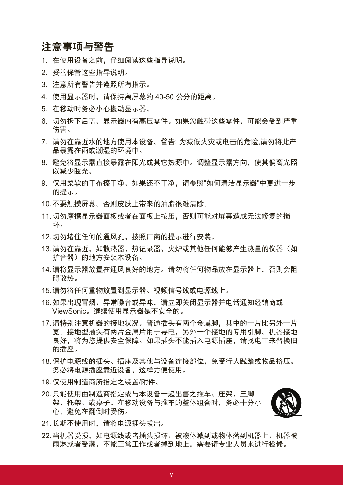### 注意事项与警告

- 1. 在使用设备之前,仔细阅读这些指导说明。
- 2. 妥善保管这些指导说明。
- 3. 注意所有警告并遵照所有指示。
- 4. 使用显示器时,请保持离屏幕约 40-50 公分的距离。
- 5. 在移动时务必小心搬动显示器。
- 6. 切勿拆下后盖。显示器内有高压零件。如果您触碰这些零件,可能会受到严重 伤害。
- 7. 请勿在靠近水的地方使用本设备。警告: 为减低火灾或电击的危险,请勿将此产 品暴露在雨或潮湿的环境中。
- 8. 避免将显示器直接暴露在阳光或其它热源中。调整显示器方向,使其偏离光照 以减少眩光。
- 9. 仅用柔软的干布擦干净。如果还不干净,请参照"如何清洁显示器"中更进一步 的提示。
- 10. 不要触摸屏幕。否则皮肤上带来的油脂很难清除。
- 11. 切勿摩擦显示器面板或者在面板上按压,否则可能对屏幕造成无法修复的损 坏。
- 12. 切勿堵住任何的通风孔,按照厂商的提示进行安装。
- 13. 请勿在靠近, 如散热器、热记录器、火炉或其他任何能够产生热量的仪器(如 扩音器)的地方安装本设备。
- 14. 请将显示器放置在通风良好的地方。请勿将任何物品放在显示器上,否则会阻 碍散热。
- 15. 请勿将任何重物放置到显示器、视频信号线或电源线上。
- 16. 如果出现冒烟、异常噪音或异味,请立即关闭显示器并电话通知经销商或 ViewSonic。继续使用显示器是不安全的。
- 17. 请特别注意机器的接地状况。普通插头有两个金属脚,其中的一片比另外一片 宽。接地型插头有两片金属片用于导电,另外一个接地的专用引脚。机器接地 良好,将为您提供安全保障。如果插头不能插入电源插座,请找电工来替换旧 的插座。
- 18. 保护电源线的插头、插座及其他与设备连接部位,免受行人践踏或物品挤压。 务必将电源插座靠近设备,这样方便使用。
- 19. 仅使用制造商所指定之装置/附件。
- 20. 只能使用由制造商指定或与本设备一起出售之推车、座架、三脚 架、托架、或桌子。在移动设备与推车的整体组合时,务必十分小 心,避免在翻倒时受伤。



- 21. 长期不使用时, 请将电源插头拔出。
- 22. 当机器受损,如电源线或者插头损坏、被液体溅到或物体落到机器上、机器被 雨淋或者受潮、不能正常工作或者掉到地上,需要请专业人员来进行检修。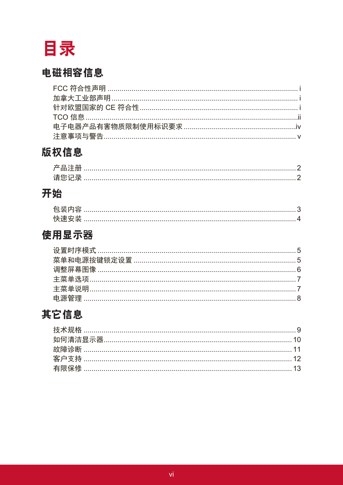

## 电磁相容信息

# 版权信息

## 开始

| 有头         |  |
|------------|--|
| <b>小土:</b> |  |

## 使用显示器

# 其它信息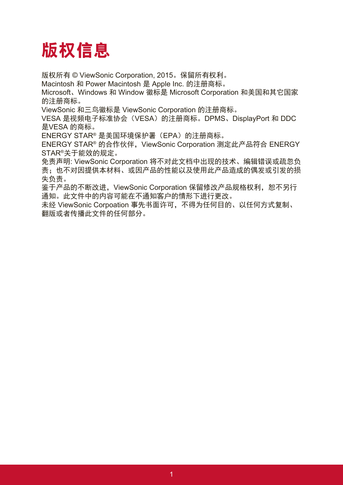# 版权信息

版权所有 © ViewSonic Corporation, 2015。保留所有权利。

Macintosh 和 Power Macintosh 是 Apple Inc. 的注册商标。

Microsoft、Windows 和 Window 徽标是 Microsoft Corporation 和美国和其它国家 的注册商标。

ViewSonic 和三鸟徽标是 ViewSonic Corporation 的注册商标。

VESA 是视频电子标准协会(VESA)的注册商标。DPMS、DisplayPort 和 DDC 是VESA 的商标。

ENERGY STAR® 是美国环境保护署 (EPA) 的注册商标。

ENERGY STAR<sup>®</sup> 的合作伙伴, ViewSonic Corporation 测定此产品符合 ENERGY STAR®关于能效的规定。

免责声明: ViewSonic Corporation 将不对此文档中出现的技术、编辑错误或疏忽负 责;也不对因提供本材料、或因产品的性能以及使用此产品造成的偶发或引发的损 失负责。

鉴于产品的不断改进, ViewSonic Corporation 保留修改产品规格权利, 恕不另行 通知。此文件中的内容可能在不通知客户的情形下进行更改。

未经 ViewSonic Corpoation 事先书面许可,不得为任何目的、以任何方式复制、 翻版或者传播此文件的任何部分。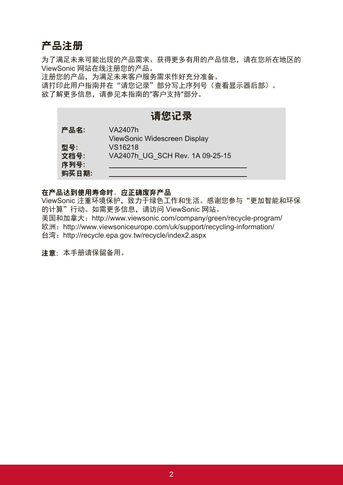### 产品注册

为了满足未来可能出现的产品需求、获得更多有用的产品信息,请在您所在地区的 ViewSonic 网站在线注册您的产品。

注册您的产品,为满足未来客户服务需求作好充分准备。 请打印此用户指南并在"请您记录"部分写上序列号(查看显示器后部)。 欲了解更多信息,请参见本指南的"客户支持"部分。

### 请您记录

| 产品名:  | VA2407h                             |
|-------|-------------------------------------|
|       | <b>ViewSonic Widescreen Display</b> |
| 型号:   | VS16218                             |
| 文档号:  | VA2407h UG SCH Rev. 1A 09-25-15     |
| 序列号:  |                                     |
| 购买日期: |                                     |

### 在产品达到使用寿命时,应正确废弃产品

ViewSonic 注重环境保护, 致力于绿色工作和生活。感谢您参与"更加智能和环保 的计算"行动。如需更多信息,请访问 ViewSonic 网站。 美国和加拿大:http://www.viewsonic.com/company/green/recycle-program/

欧洲: http://www.viewsoniceurope.com/uk/support/recycling-information/

台湾:http://recycle.epa.gov.tw/recycle/index2.aspx

注意:本手册请保留备用。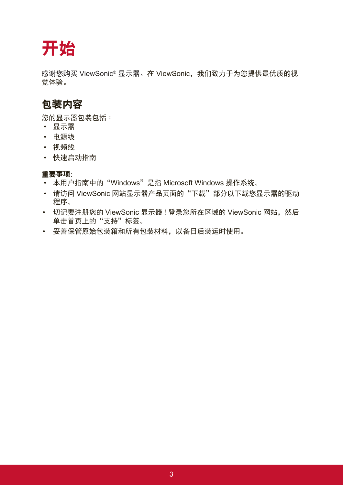# 开始

感谢您购买 ViewSonic® 显示器。在 ViewSonic, 我们致力于为您提供最优质的视 觉体验。

## 包装内容

您的显示器包装包括:

- • 显示器
- • 电源线
- • 视频线
- • 快速启动指南

### 重要事项:

- 本用户指南中的"Windows"是指 Microsoft Windows 操作系统。
- 请访问 ViewSonic 网站显示器产品页面的"下载"部分以下载您显示器的驱动 程序。
- 切记要注册您的 ViewSonic 显示器 ! 登录您所在区域的 ViewSonic 网站, 然后 单击首页上的"支持"标签。
- • 妥善保管原始包装箱和所有包装材料,以备日后装运时使用。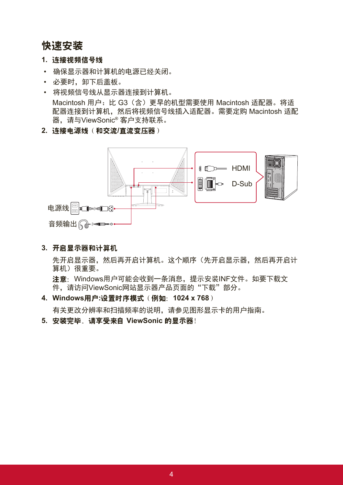### 快速安装

- **1.** 连接视频信号线
- • 确保显示器和计算机的电源已经关闭。
- 必要时, 卸下后盖板。
- • 将视频信号线从显示器连接到计算机。 Macintosh 用户: 比 G3 (含) 更早的机型需要使用 Macintosh 适配器。将适 配器连接到计算机,然后将视频信号线插入适配器。需要定购 Macintosh 适配 器,请与ViewSonic® 客户支持联系。
- **2.** 连接电源线(和交流**/**直流变压器)



**3.** 开启显示器和计算机

先开启显示器,然后再开启计算机。这个顺序(先开启显示器,然后再开启计 算机)很重要。

注意: Windows用户可能会收到一条消息,提示安装INF文件。如要下载文 件,请访问ViewSonic网站显示器产品页面的"下载"部分。

**4. Windows**用户**:**设置时序模式(例如:**1024 x 768**)

有关更改分辨率和扫描频率的说明,请参见图形显示卡的用户指南。

**5.** 安装完毕。请享受来自 **ViewSonic** 的显示器!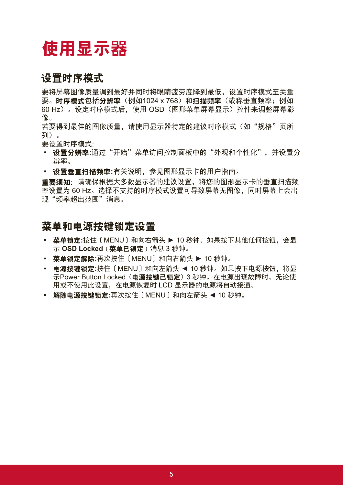# 使用显示器

### 设置时序模式

要将屏幕图像质量调到最好并同时将眼睛疲劳度降到最低,设置时序模式至关重 要。时序模式包括分辨率(例如1024 x 768)和扫描频率(或称垂直频率;例如 60 Hz)。设定时序模式后,使用 OSD(图形菜单屏幕显示)控件来调整屏幕影 像。

若要得到最佳的图像质量,请使用显示器特定的建议时序模式(如"规格"页所 列)。

要设置时序模式:

- 设置分辨率**:**通过"开始"菜单访问控制面板中的"外观和个性化",并设置分 辨率。
- 设置垂直扫描频率**:**有关说明,参见图形显示卡的用户指南。

重要须知:请确保根据大多数显示器的建议设置,将您的图形显示卡的垂直扫描频 率设置为 60 Hz。选择不支持的时序模式设置可导致屏幕无图像,同时屏幕上会出 现"频率超出范围"消息。

### 菜单和电源按键锁定设置

- 菜单锁定**:**按住〔MENU〕和向右箭头 ► 10 秒钟。如果按下其他任何按钮,会显 示 **OSD Locked**(菜单已锁定)消息 3 秒钟。
- 菜单锁定解除**:**再次按住〔MENU〕和向右箭头 ► 10 秒钟。
- 电源按键锁定**:**按住〔MENU〕和向左箭头 ◄ 10 秒钟。如果按下电源按钮,将显 示Power Button Locked (电源按键已锁定) 3 秒钟。在电源出现故障时, 无论使 用或不使用此设置,在电源恢复时 LCD 显示器的电源将自动接通。
- 解除电源按键锁定**:**再次按住〔MENU〕和向左箭头 ◄ 10 秒钟。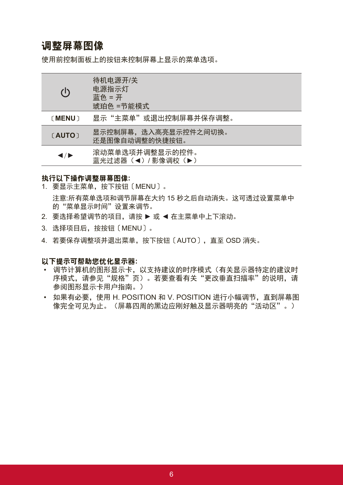### 调整屏幕图像

使用前控制面板上的按钮来控制屏幕上显示的菜单选项。

| $\mathcal{L}$ | 待机电源开/关<br>电源指示灯<br>蓝色=开<br>琥珀色 =节能模式   |
|---------------|-----------------------------------------|
| (MENU)        | 显示"主菜单"或退出控制屏幕并保存调整。                    |
| [AUTO]        | 显示控制屏幕,选入高亮显示控件之间切换。<br>还是图像自动调整的快捷按钮。  |
| ◀/▶           | 滚动菜单选项并调整显示的控件。<br>蓝光过滤器 (◀) / 影像调校 (▶) |

#### 执行以下操作调整屏幕图像**:**

- 1. 要显示主菜单,按下按钮〔MENU〕。 注意:所有菜单选项和调节屏幕在大约 15 秒之后自动消失。这可透过设置菜单中 的"菜单显示时间"设置来调节。
- 2. 要选择希望调节的项目,请按 ▶ 或 ◀ 在主菜单中上下滚动。
- 3. 选择项目后,按按钮〔MENU〕。
- 4. 若要保存调整项并退出菜单,按下按钮〔AUTO〕,直至 OSD 消失。

#### 以下提示可帮助您优化显示器**:**

- • 调节计算机的图形显示卡,以支持建议的时序模式(有关显示器特定的建议时 序模式,请参见"规格"页)。若要查看有关"更改垂直扫描率"的说明,请 参阅图形显示卡用户指南。)
- • 如果有必要,使用 H. POSITION 和 V. POSITION 进行小幅调节,直到屏幕图 像完全可见为止。(屏幕四周的黑边应刚好触及显示器明亮的"活动区"。)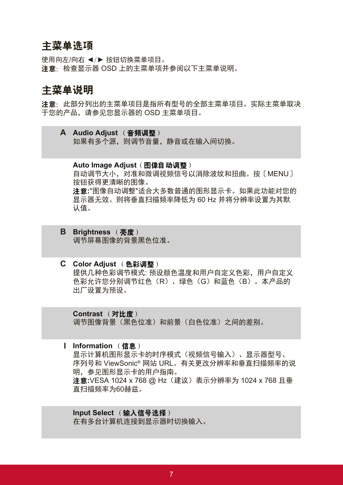### 主菜单选项

使用向左/向右 ◄/► 按钮切换菜单项目。 注意:检查显示器 OSD 上的主菜单项并参阅以下主菜单说明。

### 主菜单说明

注意:此部分列出的主菜单项目是指所有型号的全部主菜单项目。实际主菜单取决 于您的产品,请参见您显示器的 OSD 主菜单项目。

**A Audio Adjust** (音频调整) 如果有多个源,则调节音量,静音或在输入间切换。

#### **Auto Image Adjust (图像自动调整)**

自动调节大小,对准和微调视频信号以消除波纹和扭曲。按〔MENU〕 按钮获得更清晰的图像。

注意**:**"图像自动调整"适合大多数普通的图形显示卡。如果此功能对您的 显示器无效。则将垂直扫描频率降低为 60 Hz 并将分辨率设置为其默 认值。

- **B Brightness** (亮度) 调节屏幕图像的背景黑色位准。
- **C Color Adjust** (色彩调整) 提供几种色彩调节模式: 预设颜色温度和用户自定义色彩,用户自定义 色彩允许您分别调节红色(R)、绿色(G)和蓝色(B)。本产品的 出厂设置为预设。

**Contrast** (对比度) 调节图像背景(黑色位准)和前景(白色位准)之间的差别。

**I Information** (信息) 显示计算机图形显示卡的时序模式(视频信号输入)、显示器型号、 序列号和 ViewSonic® 网站 URL。有关更改分辨率和垂直扫描频率的说 明,参见图形显示卡的用户指南。 注意**:**VESA 1024 x 768 @ Hz(建议)表示分辨率为 1024 x 768 且垂 直扫描频率为60赫兹。

**Input Select** (输入信号选择) 在有多台计算机连接到显示器时切换输入。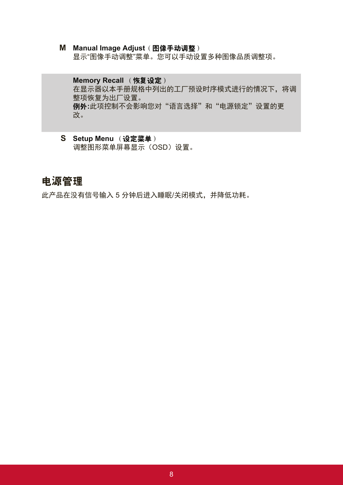**M Manual Image Adjust**(图像手动调整) 显示"图像手动调整"菜单。您可以手动设置多种图像品质调整项。

### **Memory Recall (恢复设定)** 在显示器以本手册规格中列出的工厂预设时序模式进行的情况下,将调 整项恢复为出厂设置。 例外**:**此项控制不会影响您对"语言选择"和"电源锁定"设置的更 改。

**S Setup Menu** (设定菜单) 调整图形菜单屏幕显示(OSD)设置。

### 电源管理

此产品在没有信号输入 5 分钟后进入睡眠/关闭模式,并降低功耗。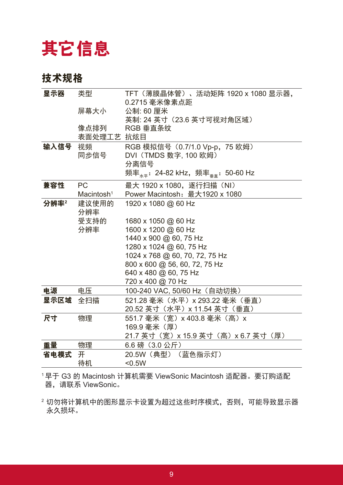# 其它信息

### 技术规格

| 显示器      | 类型                     | TFT (薄膜晶体管) 、活动矩阵 1920 x 1080 显示器,<br>0.2715 毫米像素点距                         |
|----------|------------------------|-----------------------------------------------------------------------------|
|          | 屏幕大小                   | 公制: 60 厘米                                                                   |
|          |                        | 英制: 24 英寸 (23.6 英寸可视对角区域)                                                   |
|          | 像点排列                   | RGB 垂直条纹                                                                    |
|          | 表面处理工艺 抗炫目             |                                                                             |
| 输入信号 视频  |                        | RGB 模拟信号 (0.7/1.0 Vp-p, 75 欧姆)                                              |
|          | 同步信号                   | DVI (TMDS 数字, 100 欧姆)                                                       |
|          |                        | 分离信号                                                                        |
|          |                        | 频率 <sub><sub>**</sub>: 24-82 kHz,频率<sub><sub>垂直</sub>: 50-60 Hz</sub></sub> |
| 兼容性      | <b>PC</b>              | 最大 1920 x 1080,逐行扫描(NI)                                                     |
|          | Macintosh <sup>1</sup> | Power Macintosh: 最大1920 x 1080                                              |
| 分辨率2     | 建议使用的<br>分辨率           | 1920 x 1080 @ 60 Hz                                                         |
|          | 受支持的                   | 1680 x 1050 @ 60 Hz                                                         |
|          | 分辨率                    | 1600 x 1200 @ 60 Hz                                                         |
|          |                        | 1440 x 900 @ 60, 75 Hz                                                      |
|          |                        | 1280 x 1024 @ 60, 75 Hz                                                     |
|          |                        | 1024 x 768 @ 60, 70, 72, 75 Hz<br>800 x 600 @ 56, 60, 72, 75 Hz             |
|          |                        | 640 x 480 @ 60, 75 Hz                                                       |
|          |                        | 720 x 400 @ 70 Hz                                                           |
| 电源       | 电压                     | 100-240 VAC, 50/60 Hz (自动切换)                                                |
| 显示区域 全扫描 |                        | 521.28 毫米 (水平) x 293.22 毫米 (垂直)                                             |
|          |                        | 20.52 英寸(水平)x 11.54 英寸(垂直)                                                  |
| 尺寸       | 物理                     | 551.7 毫米 (宽) x 403.8 毫米 (高) x                                               |
|          |                        | 169.9 毫米 (厚)                                                                |
|          |                        | 21.7 英寸(宽)x 15.9 英寸(高)x 6.7 英寸(厚)                                           |
| 重量       | 物理                     | 6.6 磅 (3.0 公斤)                                                              |
| 省电模式     | 开                      | 20.5W (典型) (蓝色指示灯)                                                          |
|          | 待机                     | $0.5W$                                                                      |

<sup>1</sup>早于 G3 的 Macintosh 计算机需要 ViewSonic Macintosh 适配器。要订购适配 器,请联系 ViewSonic。

<sup>2</sup>切勿将计算机中的图形显示卡设置为超过这些时序模式,否则,可能导致显示器 永久损坏。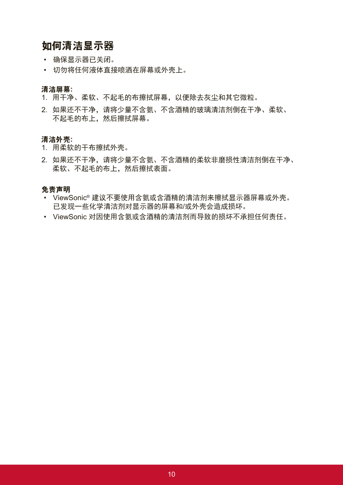### 如何清洁显示器

- • 确保显示器已关闭。
- • 切勿将任何液体直接喷洒在屏幕或外壳上。

#### 清洁屏幕**:**

- 1. 用干净、柔软、不起毛的布擦拭屏幕,以便除去灰尘和其它微粒。
- 2. 如果还不干净, 请将少量不含氨、不含酒精的玻璃清洁剂倒在干净、柔软、 不起毛的布上,然后擦拭屏幕。

#### 清洁外壳**:**

- 1. 用柔软的干布擦拭外壳。
- 2. 如果还不干净,请将少量不含氨、不含酒精的柔软非磨损性清洁剂倒在干净、 柔软、不起毛的布上,然后擦拭表面。

#### 免责声明

- • ViewSonic® 建议不要使用含氨或含酒精的清洁剂来擦拭显示器屏幕或外壳。 已发现一些化学清洁剂对显示器的屏幕和/或外壳会造成损坏。
- • ViewSonic 对因使用含氨或含酒精的清洁剂而导致的损坏不承担任何责任。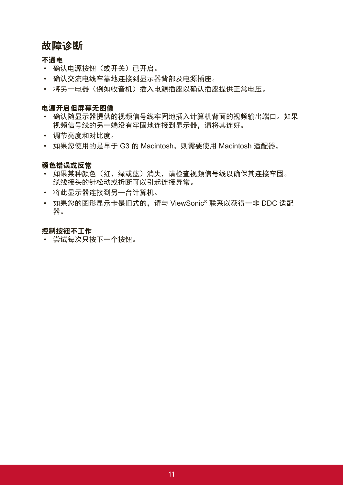### 故障诊断

### 不通电

- • 确认电源按钮(或开关)已开启。
- • 确认交流电线牢靠地连接到显示器背部及电源插座。
- 将另一电器(例如收音机)插入电源插座以确认插座提供正常电压。

### 电源开启但屏幕无图像

- • 确认随显示器提供的视频信号线牢固地插入计算机背面的视频输出端口。如果 视频信号线的另一端没有牢固地连接到显示器,请将其连好。
- • 调节亮度和对比度。
- • 如果您使用的是早于 G3 的 Macintosh,则需要使用 Macintosh 适配器。

### 颜色错误或反常

- 如果某种颜色(红、绿或蓝)消失,请检查视频信号线以确保其连接牢固。 缆线接头的针松动或折断可以引起连接异常。
- • 将此显示器连接到另一台计算机。
- • 如果您的图形显示卡是旧式的,请与 ViewSonic® 联系以获得一非 DDC 适配 器。

### 控制按钮不工作

• 尝试每次只按下一个按钮。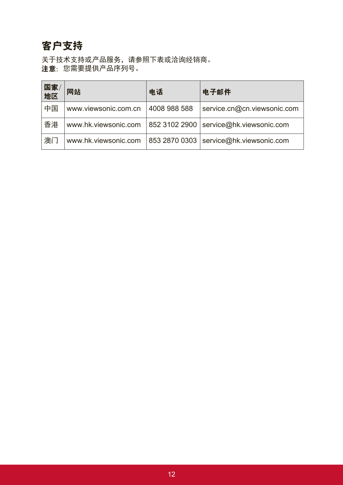## 客户支持

关于技术支持或产品服务,请参照下表或洽询经销商。 注意:您需要提供产品序列号。

| 国家<br>地区 | 网站                   | 电话            | 电子邮件                        |
|----------|----------------------|---------------|-----------------------------|
| 中国       | www.viewsonic.com.cn | 4008 988 588  | service.cn@cn.viewsonic.com |
| 香港       | www.hk.viewsonic.com | 852 3102 2900 | service@hk.viewsonic.com    |
| 澳门       | www.hk.viewsonic.com | 853 2870 0303 | service@hk.viewsonic.com    |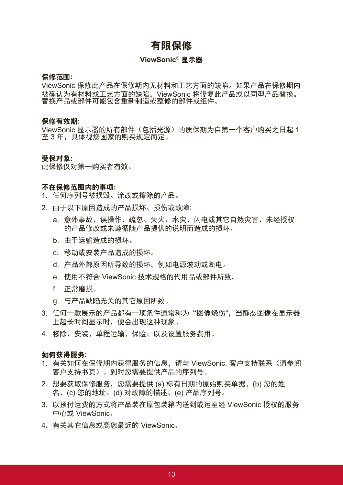### 有限保修

#### **ViewSonic®** 显示器

#### 保修范围**:**

ViewSonic 保修此产品在保修期内无材料和工艺方面的缺陷。如果产品在保修期内 被确认为有材料或工艺方面的缺陷,ViewSonic 将修复此产品或以同型产品替换。 替换产品或部件可能包含重新制造或整修的部件或组件。

#### 保修有效期**:**

ViewSonic 显示器的所有部件(包括光源)的质保期为自第一个客户购买之日起 1 至 3 年,具体视您国家的购买规定而定。

#### 受保对象**:**

此保修仅对第一购买者有效。

#### 不在保修范围内的事项**:**

1. 任何序列号被损毁、涂改或擦除的产品。

- 2. 由于以下原因造成的产品损坏、损伤或故障:
	- a. 意外事故、误操作、疏忽、失火、水灾、闪电或其它自然灾害、未经授权 的产品修改或未遵循随产品提供的说明而造成的损坏。
	- b. 由于运输造成的损坏。
	- c. 移动或安装产品造成的损坏。
	- d. 产品外部原因所导致的损坏,例如电源波动或断电。
	- e. 使用不符合 ViewSonic 技术规格的代用品或部件所致。
	- f. 正常磨损。
	- g. 与产品缺陷无关的其它原因所致。
- 3. 任何一款展示的产品都有一项条件通常称为"图像烧伤",当静态图像在显示器 上超长时间显示时,便会出现这种现象。
- 4. 移除、安装、单程运输、保险、以及设置服务费用。

#### 如何获得服务**:**

- 1. 有关如何在保修期内获得服务的信息,请与 ViewSonic. 客户支持联系(请参阅 客户支持书页)。到时您需要提供产品的序列号。
- 2. 想要获取保修服务,您需要提供 (a) 标有日期的原始购买单据、(b) 您的姓 名、(c) 您的地址、(d) 对故障的描述、(e) 产品序列号。
- 3. 以预付运费的方式将产品装在原包装箱内送到或运至经 ViewSonic 授权的服务 中心或 ViewSonic。
- 4. 有关其它信息或离您最近的 ViewSonic。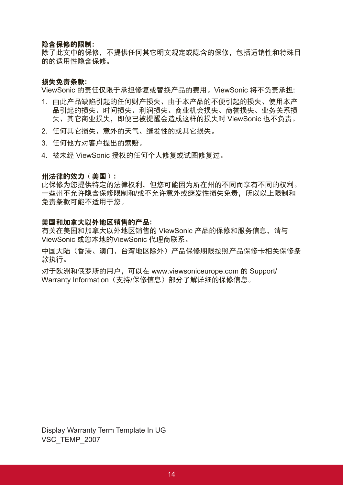#### 隐含保修的限制**:**

除了此文中的保修,不提供任何其它明文规定或隐含的保修,包括适销性和特殊目 的的适用性隐含保修。

#### 损失免责条款**:**

ViewSonic 的责任仅限于承担修复或替换产品的费用。ViewSonic 将不负责承担:

- 1. 由此产品缺陷引起的任何财产损失、由于本产品的不便引起的损失、使用本产 品引起的损失、时间损失、利润损失、商业机会损失、商誉损失、业务关系损 失、其它商业损失,即便已被提醒会造成这样的损失时 ViewSonic 也不负责。
- 2. 任何其它损失、意外的天气、继发性的或其它损失。
- 3. 任何他方对客户提出的索赔。

4. 被未经 ViewSonic 授权的任何个人修复或试图修复过。

#### 州法律的效力(美国)**:**

此保修为您提供特定的法律权利,但您可能因为所在州的不同而享有不同的权利。 一些州不允许隐含保修限制和/或不允许意外或继发性损失免责,所以以上限制和 免责条款可能不适用于您。

#### 美国和加拿大以外地区销售的产品**:**

有关在美国和加拿大以外地区销售的 ViewSonic 产品的保修和服务信息,请与 ViewSonic 或您本地的ViewSonic 代理商联系。

中国大陆(香港、澳门、台湾地区除外)产品保修期限按照产品保修卡相关保修条 款执行。

对于欧洲和俄罗斯的用户,可以在 www.viewsoniceurope.com 的 Support/ Warranty Information (支持/保修信息) 部分了解详细的保修信息。

Display Warranty Term Template In UG VSC\_TEMP\_2007